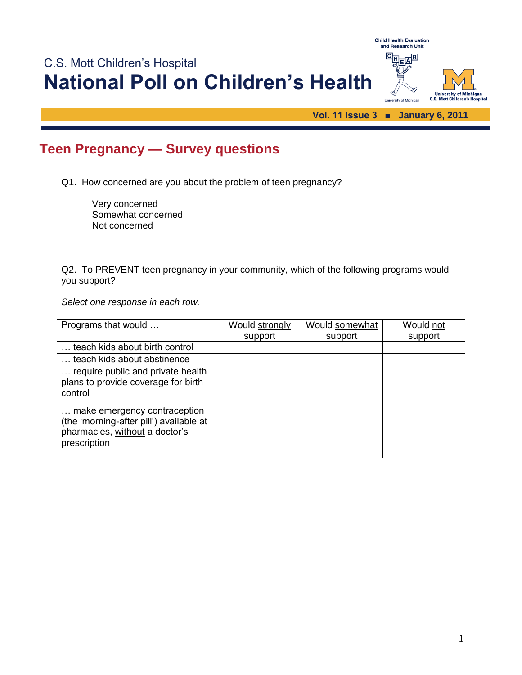

## **Teen Pregnancy — Survey questions**

Q1. How concerned are you about the problem of teen pregnancy?

Very concerned Somewhat concerned Not concerned

Q2. To PREVENT teen pregnancy in your community, which of the following programs would you support?

*Select one response in each row.*

| Programs that would                                                                                                       | Would strongly | Would somewhat | Would not |
|---------------------------------------------------------------------------------------------------------------------------|----------------|----------------|-----------|
|                                                                                                                           | support        | support        | support   |
| teach kids about birth control                                                                                            |                |                |           |
| teach kids about abstinence                                                                                               |                |                |           |
| require public and private health<br>plans to provide coverage for birth<br>control                                       |                |                |           |
| make emergency contraception<br>(the 'morning-after pill') available at<br>pharmacies, without a doctor's<br>prescription |                |                |           |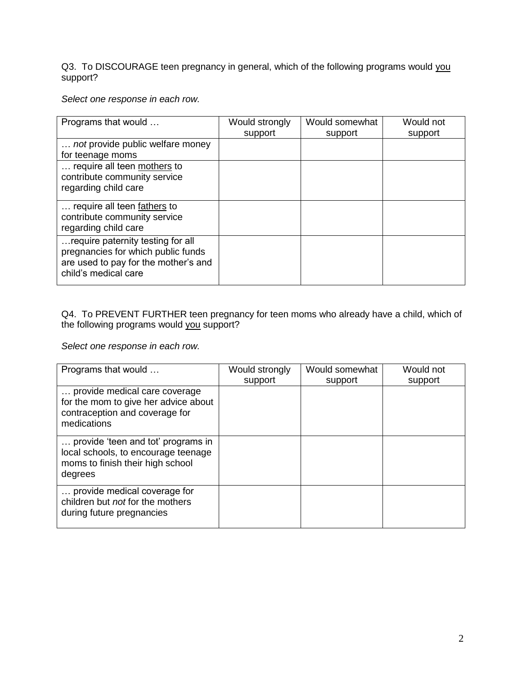Q3. To DISCOURAGE teen pregnancy in general, which of the following programs would you support?

*Select one response in each row.*

| Programs that would                                          | Would strongly | Would somewhat | Would not |
|--------------------------------------------------------------|----------------|----------------|-----------|
|                                                              | support        | support        | support   |
| not provide public welfare money                             |                |                |           |
| for teenage moms                                             |                |                |           |
| require all teen mothers to                                  |                |                |           |
| contribute community service                                 |                |                |           |
| regarding child care                                         |                |                |           |
| require all teen fathers to                                  |                |                |           |
| contribute community service                                 |                |                |           |
| regarding child care                                         |                |                |           |
| require paternity testing for all                            |                |                |           |
| pregnancies for which public funds                           |                |                |           |
| are used to pay for the mother's and<br>child's medical care |                |                |           |
|                                                              |                |                |           |

## Q4. To PREVENT FURTHER teen pregnancy for teen moms who already have a child, which of the following programs would you support?

*Select one response in each row.*

| Programs that would                                                                                                      | Would strongly | Would somewhat | Would not |
|--------------------------------------------------------------------------------------------------------------------------|----------------|----------------|-----------|
| provide medical care coverage<br>for the mom to give her advice about<br>contraception and coverage for<br>medications   | support        | support        | support   |
| provide 'teen and tot' programs in<br>local schools, to encourage teenage<br>moms to finish their high school<br>degrees |                |                |           |
| provide medical coverage for<br>children but not for the mothers<br>during future pregnancies                            |                |                |           |